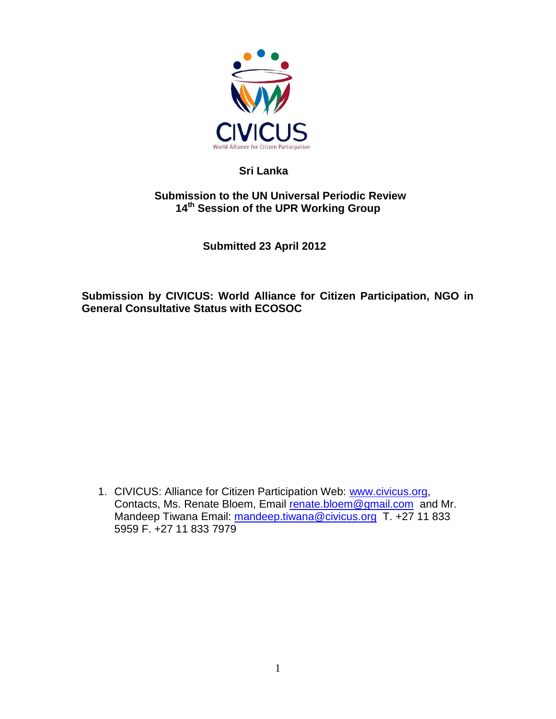

# **Sri Lanka**

# **Submission to the UN Universal Periodic Review 14th Session of the UPR Working Group**

 **Submitted 23 April 2012** 

**Submission by CIVICUS: World Alliance for Citizen Participation, NGO in General Consultative Status with ECOSOC** 

1. CIVICUS: Alliance for Citizen Participation Web: [www.civicus.org,](http://www.civicus.org/) Contacts, Ms. Renate Bloem, Email [renate.bloem@gmail.com](mailto:renate.bloem@gmail.com) and Mr. Mandeep Tiwana Email: [mandeep.tiwana@civicus.org](mailto:mandeep.tiwana@civicus.org) T. +27 11 833 5959 F. +27 11 833 7979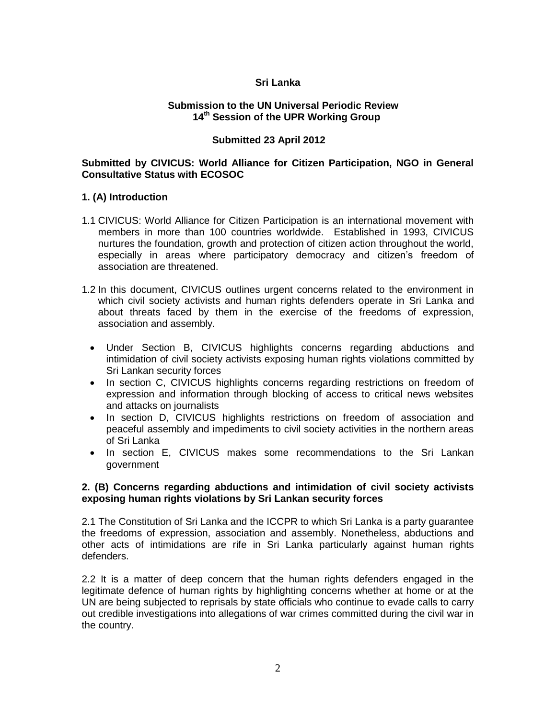# **Sri Lanka**

#### **Submission to the UN Universal Periodic Review 14th Session of the UPR Working Group**

# **Submitted 23 April 2012**

## **Submitted by CIVICUS: World Alliance for Citizen Participation, NGO in General Consultative Status with ECOSOC**

#### **1. (A) Introduction**

- 1.1 CIVICUS: World Alliance for Citizen Participation is an international movement with members in more than 100 countries worldwide. Established in 1993, CIVICUS nurtures the foundation, growth and protection of citizen action throughout the world, especially in areas where participatory democracy and citizen's freedom of association are threatened.
- 1.2 In this document, CIVICUS outlines urgent concerns related to the environment in which civil society activists and human rights defenders operate in Sri Lanka and about threats faced by them in the exercise of the freedoms of expression, association and assembly.
	- Under Section B, CIVICUS highlights concerns regarding abductions and intimidation of civil society activists exposing human rights violations committed by Sri Lankan security forces
	- In section C, CIVICUS highlights concerns regarding restrictions on freedom of expression and information through blocking of access to critical news websites and attacks on journalists
	- In section D, CIVICUS highlights restrictions on freedom of association and peaceful assembly and impediments to civil society activities in the northern areas of Sri Lanka
	- In section E, CIVICUS makes some recommendations to the Sri Lankan government

## **2. (B) Concerns regarding abductions and intimidation of civil society activists exposing human rights violations by Sri Lankan security forces**

2.1 The Constitution of Sri Lanka and the ICCPR to which Sri Lanka is a party guarantee the freedoms of expression, association and assembly. Nonetheless, abductions and other acts of intimidations are rife in Sri Lanka particularly against human rights defenders.

2.2 It is a matter of deep concern that the human rights defenders engaged in the legitimate defence of human rights by highlighting concerns whether at home or at the UN are being subjected to reprisals by state officials who continue to evade calls to carry out credible investigations into allegations of war crimes committed during the civil war in the country.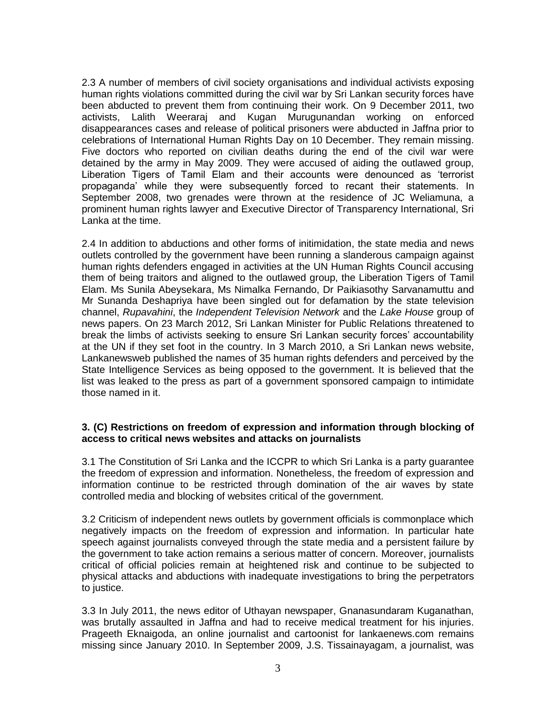2.3 A number of members of civil society organisations and individual activists exposing human rights violations committed during the civil war by Sri Lankan security forces have been abducted to prevent them from continuing their work. On 9 December 2011, two activists, Lalith Weeraraj and Kugan Murugunandan working on enforced disappearances cases and release of political prisoners were abducted in Jaffna prior to celebrations of International Human Rights Day on 10 December. They remain missing. Five doctors who reported on civilian deaths during the end of the civil war were detained by the army in May 2009. They were accused of aiding the outlawed group, Liberation Tigers of Tamil Elam and their accounts were denounced as "terrorist propaganda" while they were subsequently forced to recant their statements. In September 2008, two grenades were thrown at the residence of JC Weliamuna, a prominent human rights lawyer and Executive Director of Transparency International, Sri Lanka at the time.

2.4 In addition to abductions and other forms of initimidation, the state media and news outlets controlled by the government have been running a slanderous campaign against human rights defenders engaged in activities at the UN Human Rights Council accusing them of being traitors and aligned to the outlawed group, the Liberation Tigers of Tamil Elam. Ms Sunila Abeysekara, Ms Nimalka Fernando, Dr Paikiasothy Sarvanamuttu and Mr Sunanda Deshapriya have been singled out for defamation by the state television channel, *Rupavahini*, the *Independent Television Network* and the *Lake House* group of news papers. On 23 March 2012, Sri Lankan Minister for Public Relations threatened to break the limbs of activists seeking to ensure Sri Lankan security forces" accountability at the UN if they set foot in the country. In 3 March 2010, a Sri Lankan news website, Lankanewsweb published the names of 35 human rights defenders and perceived by the State Intelligence Services as being opposed to the government. It is believed that the list was leaked to the press as part of a government sponsored campaign to intimidate those named in it.

## **3. (C) Restrictions on freedom of expression and information through blocking of access to critical news websites and attacks on journalists**

3.1 The Constitution of Sri Lanka and the ICCPR to which Sri Lanka is a party guarantee the freedom of expression and information. Nonetheless, the freedom of expression and information continue to be restricted through domination of the air waves by state controlled media and blocking of websites critical of the government.

3.2 Criticism of independent news outlets by government officials is commonplace which negatively impacts on the freedom of expression and information. In particular hate speech against journalists conveyed through the state media and a persistent failure by the government to take action remains a serious matter of concern. Moreover, journalists critical of official policies remain at heightened risk and continue to be subjected to physical attacks and abductions with inadequate investigations to bring the perpetrators to justice.

3.3 In July 2011, the news editor of Uthayan newspaper, Gnanasundaram Kuganathan, was brutally assaulted in Jaffna and had to receive medical treatment for his injuries. Prageeth Eknaigoda, an online journalist and cartoonist for lankaenews.com remains missing since January 2010. In September 2009, J.S. Tissainayagam, a journalist, was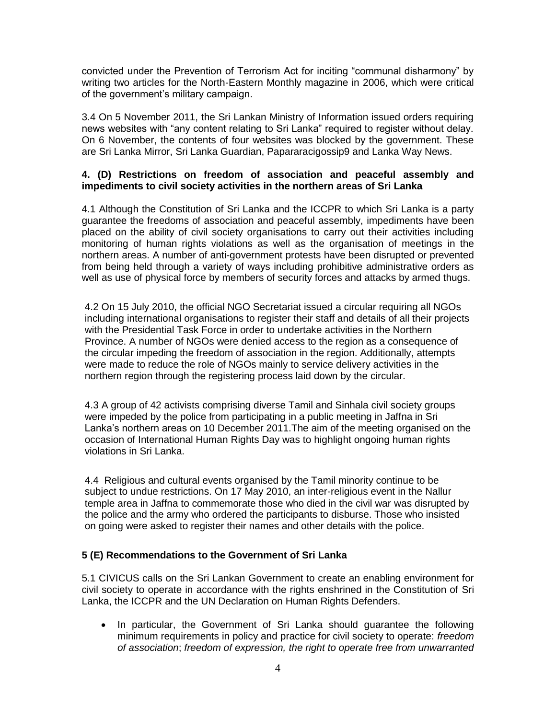convicted under the Prevention of Terrorism Act for inciting "communal disharmony" by writing two articles for the North-Eastern Monthly magazine in 2006, which were critical of the government"s military campaign.

3.4 On 5 November 2011, the Sri Lankan Ministry of Information issued orders requiring news websites with "any content relating to Sri Lanka" required to register without delay. On 6 November, the contents of four websites was blocked by the government. These are Sri Lanka Mirror, Sri Lanka Guardian, Papararacigossip9 and Lanka Way News.

## **4. (D) Restrictions on freedom of association and peaceful assembly and impediments to civil society activities in the northern areas of Sri Lanka**

4.1 Although the Constitution of Sri Lanka and the ICCPR to which Sri Lanka is a party guarantee the freedoms of association and peaceful assembly, impediments have been placed on the ability of civil society organisations to carry out their activities including monitoring of human rights violations as well as the organisation of meetings in the northern areas. A number of anti-government protests have been disrupted or prevented from being held through a variety of ways including prohibitive administrative orders as well as use of physical force by members of security forces and attacks by armed thugs.

4.2 On 15 July 2010, the official NGO Secretariat issued a circular requiring all NGOs including international organisations to register their staff and details of all their projects with the Presidential Task Force in order to undertake activities in the Northern Province. A number of NGOs were denied access to the region as a consequence of the circular impeding the freedom of association in the region. Additionally, attempts were made to reduce the role of NGOs mainly to service delivery activities in the northern region through the registering process laid down by the circular.

4.3 A group of 42 activists comprising diverse Tamil and Sinhala civil society groups were impeded by the police from participating in a public meeting in Jaffna in Sri Lanka"s northern areas on 10 December 2011.The aim of the meeting organised on the occasion of International Human Rights Day was to highlight ongoing human rights violations in Sri Lanka.

4.4 Religious and cultural events organised by the Tamil minority continue to be subject to undue restrictions. On 17 May 2010, an inter-religious event in the Nallur temple area in Jaffna to commemorate those who died in the civil war was disrupted by the police and the army who ordered the participants to disburse. Those who insisted on going were asked to register their names and other details with the police.

# **5 (E) Recommendations to the Government of Sri Lanka**

5.1 CIVICUS calls on the Sri Lankan Government to create an enabling environment for civil society to operate in accordance with the rights enshrined in the Constitution of Sri Lanka, the ICCPR and the UN Declaration on Human Rights Defenders.

• In particular, the Government of Sri Lanka should quarantee the following minimum requirements in policy and practice for civil society to operate: *freedom of association*; *freedom of expression, the right to operate free from unwarranted*